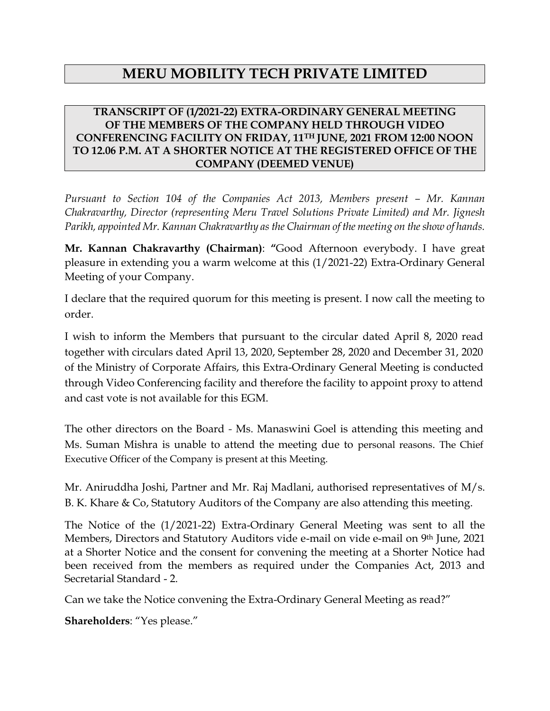# **MERU MOBILITY TECH PRIVATE LIMITED**

## **TRANSCRIPT OF (1/2021-22) EXTRA-ORDINARY GENERAL MEETING OF THE MEMBERS OF THE COMPANY HELD THROUGH VIDEO CONFERENCING FACILITY ON FRIDAY, 11TH JUNE, 2021 FROM 12:00 NOON TO 12.06 P.M. AT A SHORTER NOTICE AT THE REGISTERED OFFICE OF THE COMPANY (DEEMED VENUE)**

*Pursuant to Section 104 of the Companies Act 2013, Members present – Mr. Kannan Chakravarthy, Director (representing Meru Travel Solutions Private Limited) and Mr. Jignesh Parikh, appointed Mr. Kannan Chakravarthy as the Chairman of the meeting on the show of hands.* 

**Mr. Kannan Chakravarthy (Chairman)**: **"**Good Afternoon everybody. I have great pleasure in extending you a warm welcome at this (1/2021-22) Extra-Ordinary General Meeting of your Company.

I declare that the required quorum for this meeting is present. I now call the meeting to order.

I wish to inform the Members that pursuant to the circular dated April 8, 2020 read together with circulars dated April 13, 2020, September 28, 2020 and December 31, 2020 of the Ministry of Corporate Affairs, this Extra-Ordinary General Meeting is conducted through Video Conferencing facility and therefore the facility to appoint proxy to attend and cast vote is not available for this EGM.

The other directors on the Board *-* Ms. Manaswini Goel is attending this meeting and Ms. Suman Mishra is unable to attend the meeting due to personal reasons. The Chief Executive Officer of the Company is present at this Meeting.

Mr. Aniruddha Joshi, Partner and Mr. Raj Madlani, authorised representatives of M/s. B. K. Khare & Co, Statutory Auditors of the Company are also attending this meeting.

The Notice of the (1/2021-22) Extra-Ordinary General Meeting was sent to all the Members, Directors and Statutory Auditors vide e-mail on vide e-mail on 9th June, 2021 at a Shorter Notice and the consent for convening the meeting at a Shorter Notice had been received from the members as required under the Companies Act, 2013 and Secretarial Standard - 2.

Can we take the Notice convening the Extra-Ordinary General Meeting as read?"

**Shareholders**: "Yes please."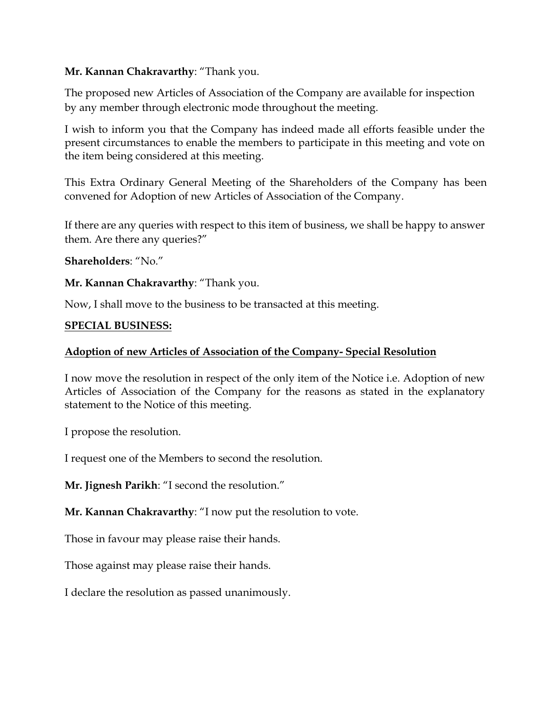## **Mr. Kannan Chakravarthy**: "Thank you.

The proposed new Articles of Association of the Company are available for inspection by any member through electronic mode throughout the meeting.

I wish to inform you that the Company has indeed made all efforts feasible under the present circumstances to enable the members to participate in this meeting and vote on the item being considered at this meeting.

This Extra Ordinary General Meeting of the Shareholders of the Company has been convened for Adoption of new Articles of Association of the Company.

If there are any queries with respect to this item of business, we shall be happy to answer them. Are there any queries?"

**Shareholders**: "No."

**Mr. Kannan Chakravarthy**: "Thank you.

Now, I shall move to the business to be transacted at this meeting.

## **SPECIAL BUSINESS:**

## **Adoption of new Articles of Association of the Company- Special Resolution**

I now move the resolution in respect of the only item of the Notice i.e. Adoption of new Articles of Association of the Company for the reasons as stated in the explanatory statement to the Notice of this meeting.

I propose the resolution.

I request one of the Members to second the resolution.

**Mr. Jignesh Parikh**: "I second the resolution."

**Mr. Kannan Chakravarthy**: "I now put the resolution to vote.

Those in favour may please raise their hands.

Those against may please raise their hands.

I declare the resolution as passed unanimously.